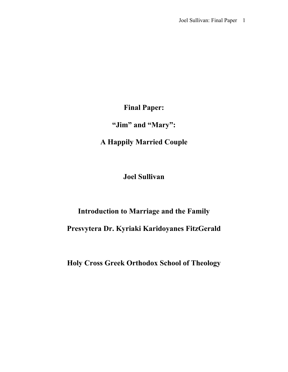**Final Paper:**

**"Jim" and "Mary":**

**A Happily Married Couple**

**Joel Sullivan**

# **Introduction to Marriage and the Family Presvytera Dr. Kyriaki Karidoyanes FitzGerald**

**Holy Cross Greek Orthodox School of Theology**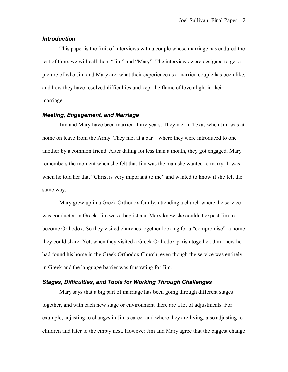## *Introduction*

This paper is the fruit of interviews with a couple whose marriage has endured the test of time: we will call them "Jim" and "Mary". The interviews were designed to get a picture of who Jim and Mary are, what their experience as a married couple has been like, and how they have resolved difficulties and kept the flame of love alight in their marriage.

## *Meeting, Engagement, and Marriage*

Jim and Mary have been married thirty years. They met in Texas when Jim was at home on leave from the Army. They met at a bar—where they were introduced to one another by a common friend. After dating for less than a month, they got engaged. Mary remembers the moment when she felt that Jim was the man she wanted to marry: It was when he told her that "Christ is very important to me" and wanted to know if she felt the same way.

Mary grew up in a Greek Orthodox family, attending a church where the service was conducted in Greek. Jim was a baptist and Mary knew she couldn't expect Jim to become Orthodox. So they visited churches together looking for a "compromise": a home they could share. Yet, when they visited a Greek Orthodox parish together, Jim knew he had found his home in the Greek Orthodox Church, even though the service was entirely in Greek and the language barrier was frustrating for Jim.

### *Stages, Difficulties, and Tools for Working Through Challenges*

Mary says that a big part of marriage has been going through different stages together, and with each new stage or environment there are a lot of adjustments. For example, adjusting to changes in Jim's career and where they are living, also adjusting to children and later to the empty nest. However Jim and Mary agree that the biggest change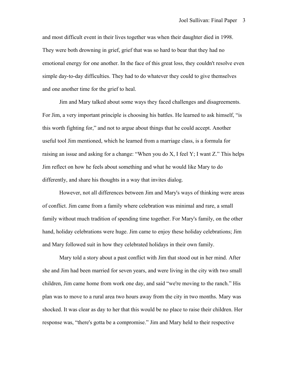and most difficult event in their lives together was when their daughter died in 1998. They were both drowning in grief, grief that was so hard to bear that they had no emotional energy for one another. In the face of this great loss, they couldn't resolve even simple day-to-day difficulties. They had to do whatever they could to give themselves and one another time for the grief to heal.

Jim and Mary talked about some ways they faced challenges and disagreements. For Jim, a very important principle is choosing his battles. He learned to ask himself, "is this worth fighting for," and not to argue about things that he could accept. Another useful tool Jim mentioned, which he learned from a marriage class, is a formula for raising an issue and asking for a change: "When you do X, I feel Y; I want Z." This helps Jim reflect on how he feels about something and what he would like Mary to do differently, and share his thoughts in a way that invites dialog.

However, not all differences between Jim and Mary's ways of thinking were areas of conflict. Jim came from a family where celebration was minimal and rare, a small family without much tradition of spending time together. For Mary's family, on the other hand, holiday celebrations were huge. Jim came to enjoy these holiday celebrations; Jim and Mary followed suit in how they celebrated holidays in their own family.

Mary told a story about a past conflict with Jim that stood out in her mind. After she and Jim had been married for seven years, and were living in the city with two small children, Jim came home from work one day, and said "we're moving to the ranch." His plan was to move to a rural area two hours away from the city in two months. Mary was shocked. It was clear as day to her that this would be no place to raise their children. Her response was, "there's gotta be a compromise." Jim and Mary held to their respective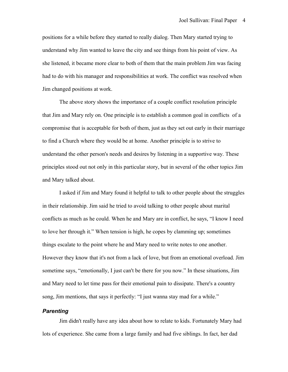positions for a while before they started to really dialog. Then Mary started trying to understand why Jim wanted to leave the city and see things from his point of view. As she listened, it became more clear to both of them that the main problem Jim was facing had to do with his manager and responsibilities at work. The conflict was resolved when Jim changed positions at work.

The above story shows the importance of a couple conflict resolution principle that Jim and Mary rely on. One principle is to establish a common goal in conflicts of a compromise that is acceptable for both of them, just as they set out early in their marriage to find a Church where they would be at home. Another principle is to strive to understand the other person's needs and desires by listening in a supportive way. These principles stood out not only in this particular story, but in several of the other topics Jim and Mary talked about.

I asked if Jim and Mary found it helpful to talk to other people about the struggles in their relationship. Jim said he tried to avoid talking to other people about marital conflicts as much as he could. When he and Mary are in conflict, he says, "I know I need to love her through it." When tension is high, he copes by clamming up; sometimes things escalate to the point where he and Mary need to write notes to one another. However they know that it's not from a lack of love, but from an emotional overload. Jim sometime says, "emotionally, I just can't be there for you now." In these situations, Jim and Mary need to let time pass for their emotional pain to dissipate. There's a country song, Jim mentions, that says it perfectly: "I just wanna stay mad for a while."

# *Parenting*

Jim didn't really have any idea about how to relate to kids. Fortunately Mary had lots of experience. She came from a large family and had five siblings. In fact, her dad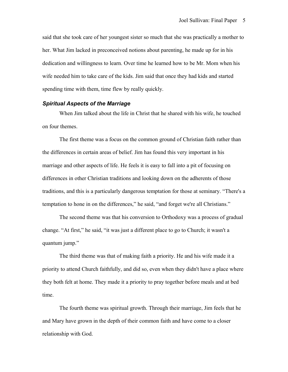said that she took care of her youngest sister so much that she was practically a mother to her. What Jim lacked in preconceived notions about parenting, he made up for in his dedication and willingness to learn. Over time he learned how to be Mr. Mom when his wife needed him to take care of the kids. Jim said that once they had kids and started spending time with them, time flew by really quickly.

#### *Spiritual Aspects of the Marriage*

When Jim talked about the life in Christ that he shared with his wife, he touched on four themes.

The first theme was a focus on the common ground of Christian faith rather than the differences in certain areas of belief. Jim has found this very important in his marriage and other aspects of life. He feels it is easy to fall into a pit of focusing on differences in other Christian traditions and looking down on the adherents of those traditions, and this is a particularly dangerous temptation for those at seminary. "There's a temptation to hone in on the differences," he said, "and forget we're all Christians."

The second theme was that his conversion to Orthodoxy was a process of gradual change. "At first," he said, "it was just a different place to go to Church; it wasn't a quantum jump."

The third theme was that of making faith a priority. He and his wife made it a priority to attend Church faithfully, and did so, even when they didn't have a place where they both felt at home. They made it a priority to pray together before meals and at bed time.

The fourth theme was spiritual growth. Through their marriage, Jim feels that he and Mary have grown in the depth of their common faith and have come to a closer relationship with God.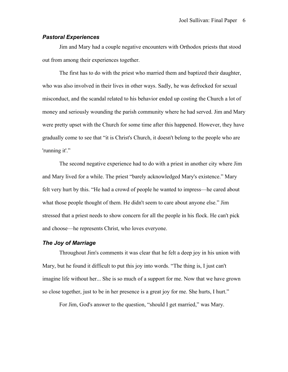## *Pastoral Experiences*

Jim and Mary had a couple negative encounters with Orthodox priests that stood out from among their experiences together.

The first has to do with the priest who married them and baptized their daughter, who was also involved in their lives in other ways. Sadly, he was defrocked for sexual misconduct, and the scandal related to his behavior ended up costing the Church a lot of money and seriously wounding the parish community where he had served. Jim and Mary were pretty upset with the Church for some time after this happened. However, they have gradually come to see that "it is Christ's Church, it doesn't belong to the people who are 'running it'."

The second negative experience had to do with a priest in another city where Jim and Mary lived for a while. The priest "barely acknowledged Mary's existence." Mary felt very hurt by this. "He had a crowd of people he wanted to impress—he cared about what those people thought of them. He didn't seem to care about anyone else." Jim stressed that a priest needs to show concern for all the people in his flock. He can't pick and choose—he represents Christ, who loves everyone.

## *The Joy of Marriage*

Throughout Jim's comments it was clear that he felt a deep joy in his union with Mary, but he found it difficult to put this joy into words. "The thing is, I just can't imagine life without her... She is so much of a support for me. Now that we have grown so close together, just to be in her presence is a great joy for me. She hurts, I hurt."

For Jim, God's answer to the question, "should I get married," was Mary.